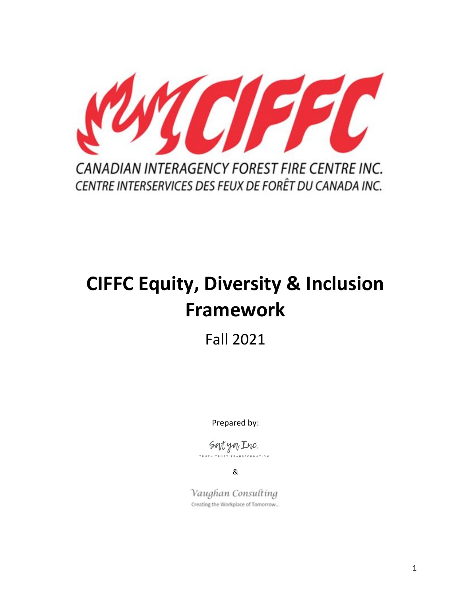

Fall 2021

Prepared by:

Sortyon Inc. **ATION** 

&

Vaughan Consulting Creating the Workplace of Tomorrow...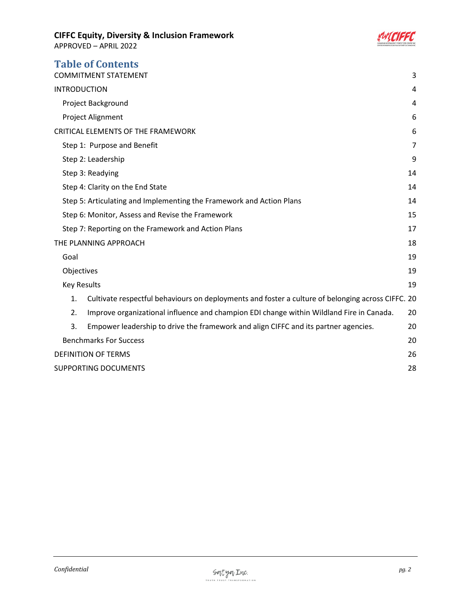

| <b>Table of Contents</b><br><b>COMMITMENT STATEMENT</b>              |                                                                                                   | 3              |
|----------------------------------------------------------------------|---------------------------------------------------------------------------------------------------|----------------|
| <b>INTRODUCTION</b>                                                  |                                                                                                   | 4              |
| Project Background                                                   |                                                                                                   | 4              |
|                                                                      | Project Alignment                                                                                 | 6              |
| <b>CRITICAL ELEMENTS OF THE FRAMEWORK</b>                            |                                                                                                   | 6              |
| Step 1: Purpose and Benefit                                          |                                                                                                   | $\overline{7}$ |
|                                                                      | Step 2: Leadership                                                                                | 9              |
|                                                                      | Step 3: Readying                                                                                  | 14             |
|                                                                      | Step 4: Clarity on the End State                                                                  | 14             |
| Step 5: Articulating and Implementing the Framework and Action Plans |                                                                                                   | 14             |
|                                                                      | Step 6: Monitor, Assess and Revise the Framework                                                  | 15             |
| Step 7: Reporting on the Framework and Action Plans                  |                                                                                                   | 17             |
| THE PLANNING APPROACH                                                |                                                                                                   | 18             |
| Goal                                                                 |                                                                                                   | 19             |
| Objectives                                                           |                                                                                                   | 19             |
| <b>Key Results</b>                                                   |                                                                                                   | 19             |
| 1.                                                                   | Cultivate respectful behaviours on deployments and foster a culture of belonging across CIFFC. 20 |                |
| 2.                                                                   | Improve organizational influence and champion EDI change within Wildland Fire in Canada.          | 20             |
| 3.                                                                   | Empower leadership to drive the framework and align CIFFC and its partner agencies.               | 20             |
|                                                                      | <b>Benchmarks For Success</b>                                                                     |                |
|                                                                      | <b>DEFINITION OF TERMS</b>                                                                        |                |
|                                                                      | <b>SUPPORTING DOCUMENTS</b>                                                                       |                |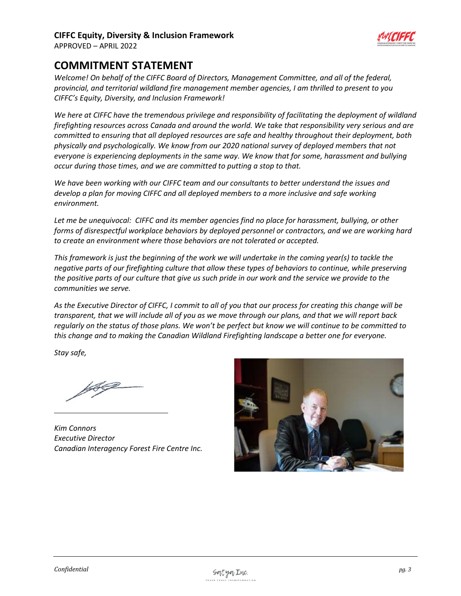

APPROVED – APRIL 2022

# <span id="page-2-0"></span>**COMMITMENT STATEMENT**

*Welcome! On behalf of the CIFFC Board of Directors, Management Committee, and all of the federal, provincial, and territorial wildland fire management member agencies, I am thrilled to present to you CIFFC's Equity, Diversity, and Inclusion Framework!*

*We here at CIFFC have the tremendous privilege and responsibility of facilitating the deployment of wildland firefighting resources across Canada and around the world. We take that responsibility very serious and are committed to ensuring that all deployed resources are safe and healthy throughout their deployment, both physically and psychologically. We know from our 2020 national survey of deployed members that not everyone is experiencing deployments in the same way. We know that for some, harassment and bullying occur during those times, and we are committed to putting a stop to that.*

*We have been working with our CIFFC team and our consultants to better understand the issues and develop a plan for moving CIFFC and all deployed members to a more inclusive and safe working environment.*

*Let me be unequivocal: CIFFC and its member agencies find no place for harassment, bullying, or other forms of disrespectful workplace behaviors by deployed personnel or contractors, and we are working hard to create an environment where those behaviors are not tolerated or accepted.* 

*This framework is just the beginning of the work we will undertake in the coming year(s) to tackle the negative parts of our firefighting culture that allow these types of behaviors to continue, while preserving the positive parts of our culture that give us such pride in our work and the service we provide to the communities we serve.*

*As the Executive Director of CIFFC, I commit to all of you that our process for creating this change will be transparent, that we will include all of you as we move through our plans, and that we will report back regularly on the status of those plans. We won't be perfect but know we will continue to be committed to this change and to making the Canadian Wildland Firefighting landscape a better one for everyone.*

*Stay safe,*

*Kim Connors Executive Director Canadian Interagency Forest Fire Centre Inc.*

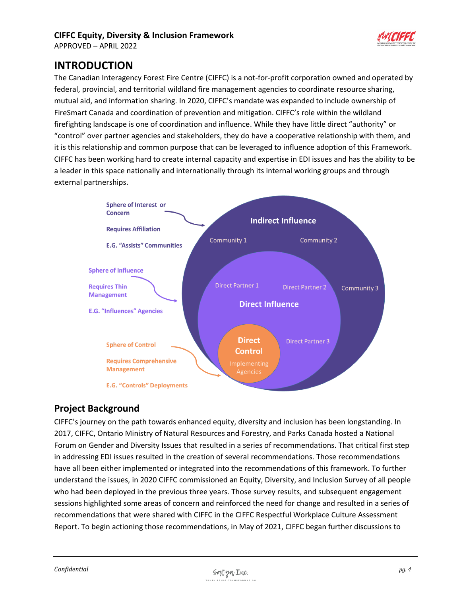

<span id="page-3-0"></span>**INTRODUCTION**

The Canadian Interagency Forest Fire Centre (CIFFC) is a not-for-profit corporation owned and operated by federal, provincial, and territorial wildland fire management agencies to coordinate resource sharing, mutual aid, and information sharing. In 2020, CIFFC's mandate was expanded to include ownership of FireSmart Canada and coordination of prevention and mitigation. CIFFC's role within the wildland firefighting landscape is one of coordination and influence. While they have little direct "authority" or "control" over partner agencies and stakeholders, they do have a cooperative relationship with them, and it is this relationship and common purpose that can be leveraged to influence adoption of this Framework. CIFFC has been working hard to create internal capacity and expertise in EDI issues and has the ability to be a leader in this space nationally and internationally through its internal working groups and through external partnerships.



# <span id="page-3-1"></span>**Project Background**

CIFFC's journey on the path towards enhanced equity, diversity and inclusion has been longstanding. In 2017, CIFFC, Ontario Ministry of Natural Resources and Forestry, and Parks Canada hosted a National Forum on Gender and Diversity Issues that resulted in a series of recommendations. That critical first step in addressing EDI issues resulted in the creation of several recommendations. Those recommendations have all been either implemented or integrated into the recommendations of this framework. To further understand the issues, in 2020 CIFFC commissioned an Equity, Diversity, and Inclusion Survey of all people who had been deployed in the previous three years. Those survey results, and subsequent engagement sessions highlighted some areas of concern and reinforced the need for change and resulted in a series of recommendations that were shared with CIFFC in the CIFFC Respectful Workplace Culture Assessment Report. To begin actioning those recommendations, in May of 2021, CIFFC began further discussions to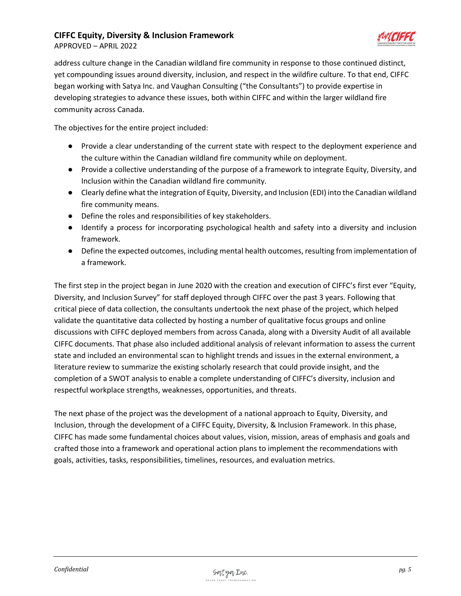

APPROVED – APRIL 2022

address culture change in the Canadian wildland fire community in response to those continued distinct, yet compounding issues around diversity, inclusion, and respect in the wildfire culture. To that end, CIFFC began working with Satya Inc. and Vaughan Consulting ("the Consultants") to provide expertise in developing strategies to advance these issues, both within CIFFC and within the larger wildland fire community across Canada.

The objectives for the entire project included:

- Provide a clear understanding of the current state with respect to the deployment experience and the culture within the Canadian wildland fire community while on deployment.
- Provide a collective understanding of the purpose of a framework to integrate Equity, Diversity, and Inclusion within the Canadian wildland fire community.
- Clearly define what the integration of Equity, Diversity, and Inclusion (EDI) into the Canadian wildland fire community means.
- Define the roles and responsibilities of key stakeholders.
- Identify a process for incorporating psychological health and safety into a diversity and inclusion framework.
- Define the expected outcomes, including mental health outcomes, resulting from implementation of a framework.

The first step in the project began in June 2020 with the creation and execution of CIFFC's first ever "Equity, Diversity, and Inclusion Survey" for staff deployed through CIFFC over the past 3 years. Following that critical piece of data collection, the consultants undertook the next phase of the project, which helped validate the quantitative data collected by hosting a number of qualitative focus groups and online discussions with CIFFC deployed members from across Canada, along with a Diversity Audit of all available CIFFC documents. That phase also included additional analysis of relevant information to assess the current state and included an environmental scan to highlight trends and issues in the external environment, a literature review to summarize the existing scholarly research that could provide insight, and the completion of a SWOT analysis to enable a complete understanding of CIFFC's diversity, inclusion and respectful workplace strengths, weaknesses, opportunities, and threats.

The next phase of the project was the development of a national approach to Equity, Diversity, and Inclusion, through the development of a CIFFC Equity, Diversity, & Inclusion Framework. In this phase, CIFFC has made some fundamental choices about values, vision, mission, areas of emphasis and goals and crafted those into a framework and operational action plans to implement the recommendations with goals, activities, tasks, responsibilities, timelines, resources, and evaluation metrics.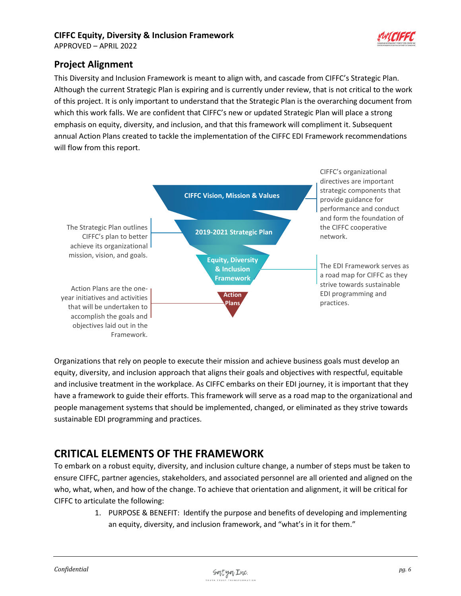

# <span id="page-5-0"></span>**Project Alignment**

This Diversity and Inclusion Framework is meant to align with, and cascade from CIFFC's Strategic Plan. Although the current Strategic Plan is expiring and is currently under review, that is not critical to the work of this project. It is only important to understand that the Strategic Plan is the overarching document from which this work falls. We are confident that CIFFC's new or updated Strategic Plan will place a strong emphasis on equity, diversity, and inclusion, and that this framework will compliment it. Subsequent annual Action Plans created to tackle the implementation of the CIFFC EDI Framework recommendations will flow from this report.



Organizations that rely on people to execute their mission and achieve business goals must develop an equity, diversity, and inclusion approach that aligns their goals and objectives with respectful, equitable and inclusive treatment in the workplace. As CIFFC embarks on their EDI journey, it is important that they have a framework to guide their efforts. This framework will serve as a road map to the organizational and people management systems that should be implemented, changed, or eliminated as they strive towards sustainable EDI programming and practices.

# <span id="page-5-1"></span>**CRITICAL ELEMENTS OF THE FRAMEWORK**

To embark on a robust equity, diversity, and inclusion culture change, a number of steps must be taken to ensure CIFFC, partner agencies, stakeholders, and associated personnel are all oriented and aligned on the who, what, when, and how of the change. To achieve that orientation and alignment, it will be critical for CIFFC to articulate the following:

> 1. PURPOSE & BENEFIT: Identify the purpose and benefits of developing and implementing an equity, diversity, and inclusion framework, and "what's in it for them."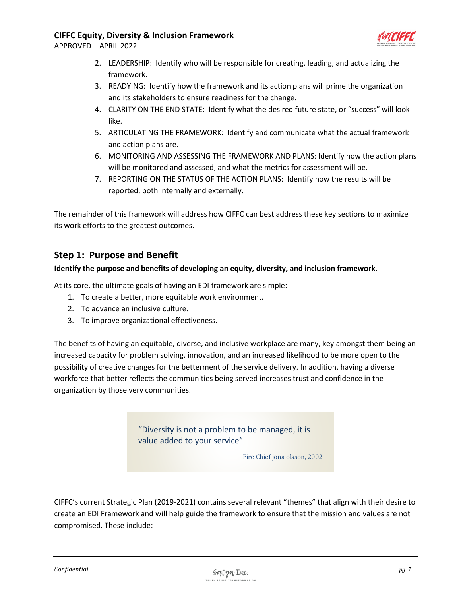APPROVED – APRIL 2022



- 2. LEADERSHIP: Identify who will be responsible for creating, leading, and actualizing the framework.
- 3. READYING: Identify how the framework and its action plans will prime the organization and its stakeholders to ensure readiness for the change.
- 4. CLARITY ON THE END STATE: Identify what the desired future state, or "success" will look like.
- 5. ARTICULATING THE FRAMEWORK: Identify and communicate what the actual framework and action plans are.
- 6. MONITORING AND ASSESSING THE FRAMEWORK AND PLANS: Identify how the action plans will be monitored and assessed, and what the metrics for assessment will be.
- 7. REPORTING ON THE STATUS OF THE ACTION PLANS: Identify how the results will be reported, both internally and externally.

The remainder of this framework will address how CIFFC can best address these key sections to maximize its work efforts to the greatest outcomes.

# <span id="page-6-0"></span>**Step 1: Purpose and Benefit**

#### **Identify the purpose and benefits of developing an equity, diversity, and inclusion framework.**

At its core, the ultimate goals of having an EDI framework are simple:

- 1. To create a better, more equitable work environment.
- 2. To advance an inclusive culture.
- 3. To improve organizational effectiveness.

The benefits of having an equitable, diverse, and inclusive workplace are many, key amongst them being an increased capacity for problem solving, innovation, and an increased likelihood to be more open to the possibility of creative changes for the betterment of the service delivery. In addition, having a diverse workforce that better reflects the communities being served increases trust and confidence in the organization by those very communities.

> "Diversity is not a problem to be managed, it is value added to your service"

> > Fire Chief jona olsson, 2002

CIFFC's current Strategic Plan (2019-2021) contains several relevant "themes" that align with their desire to create an EDI Framework and will help guide the framework to ensure that the mission and values are not compromised. These include: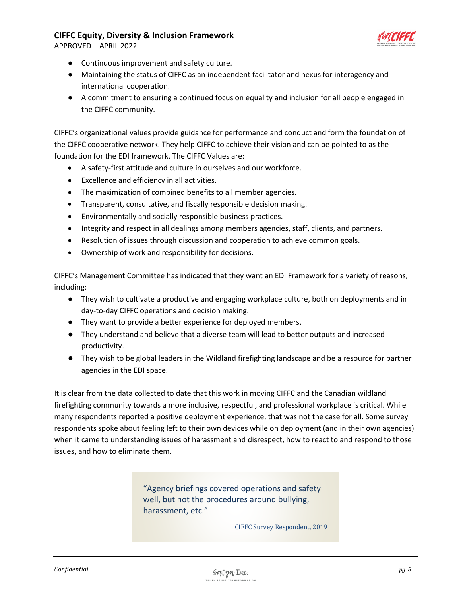

APPROVED – APRIL 2022

- Continuous improvement and safety culture.
- Maintaining the status of CIFFC as an independent facilitator and nexus for interagency and international cooperation.
- A commitment to ensuring a continued focus on equality and inclusion for all people engaged in the CIFFC community.

CIFFC's organizational values provide guidance for performance and conduct and form the foundation of the CIFFC cooperative network. They help CIFFC to achieve their vision and can be pointed to as the foundation for the EDI framework. The CIFFC Values are:

- A safety-first attitude and culture in ourselves and our workforce.
- Excellence and efficiency in all activities.
- The maximization of combined benefits to all member agencies.
- Transparent, consultative, and fiscally responsible decision making.
- Environmentally and socially responsible business practices.
- Integrity and respect in all dealings among members agencies, staff, clients, and partners.
- Resolution of issues through discussion and cooperation to achieve common goals.
- Ownership of work and responsibility for decisions.

CIFFC's Management Committee has indicated that they want an EDI Framework for a variety of reasons, including:

- They wish to cultivate a productive and engaging workplace culture, both on deployments and in day-to-day CIFFC operations and decision making.
- They want to provide a better experience for deployed members.
- They understand and believe that a diverse team will lead to better outputs and increased productivity.
- They wish to be global leaders in the Wildland firefighting landscape and be a resource for partner agencies in the EDI space.

It is clear from the data collected to date that this work in moving CIFFC and the Canadian wildland firefighting community towards a more inclusive, respectful, and professional workplace is critical. While many respondents reported a positive deployment experience, that was not the case for all. Some survey respondents spoke about feeling left to their own devices while on deployment (and in their own agencies) when it came to understanding issues of harassment and disrespect, how to react to and respond to those issues, and how to eliminate them.

> "Agency briefings covered operations and safety well, but not the procedures around bullying, harassment, etc."

> > CIFFC Survey Respondent, 2019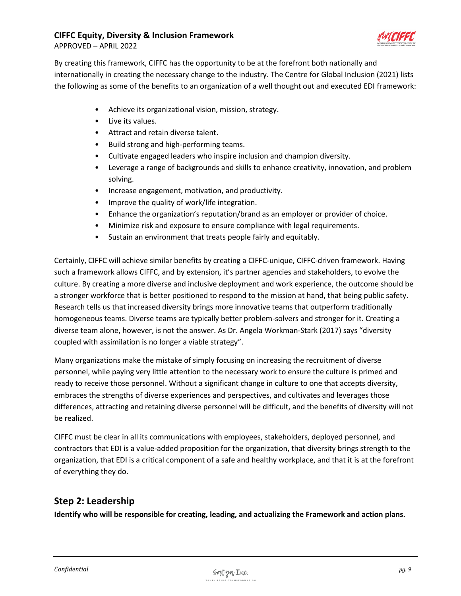

APPROVED – APRIL 2022

By creating this framework, CIFFC has the opportunity to be at the forefront both nationally and internationally in creating the necessary change to the industry. The Centre for Global Inclusion (2021) lists the following as some of the benefits to an organization of a well thought out and executed EDI framework:

- Achieve its organizational vision, mission, strategy.
- Live its values.
- Attract and retain diverse talent.
- Build strong and high-performing teams.
- Cultivate engaged leaders who inspire inclusion and champion diversity.
- Leverage a range of backgrounds and skills to enhance creativity, innovation, and problem solving.
- Increase engagement, motivation, and productivity.
- Improve the quality of work/life integration.
- Enhance the organization's reputation/brand as an employer or provider of choice.
- Minimize risk and exposure to ensure compliance with legal requirements.
- Sustain an environment that treats people fairly and equitably.

Certainly, CIFFC will achieve similar benefits by creating a CIFFC-unique, CIFFC-driven framework. Having such a framework allows CIFFC, and by extension, it's partner agencies and stakeholders, to evolve the culture. By creating a more diverse and inclusive deployment and work experience, the outcome should be a stronger workforce that is better positioned to respond to the mission at hand, that being public safety. Research tells us that increased diversity brings more innovative teams that outperform traditionally homogeneous teams. Diverse teams are typically better problem-solvers and stronger for it. Creating a diverse team alone, however, is not the answer. As Dr. Angela Workman-Stark (2017) says "diversity coupled with assimilation is no longer a viable strategy".

Many organizations make the mistake of simply focusing on increasing the recruitment of diverse personnel, while paying very little attention to the necessary work to ensure the culture is primed and ready to receive those personnel. Without a significant change in culture to one that accepts diversity, embraces the strengths of diverse experiences and perspectives, and cultivates and leverages those differences, attracting and retaining diverse personnel will be difficult, and the benefits of diversity will not be realized.

CIFFC must be clear in all its communications with employees, stakeholders, deployed personnel, and contractors that EDI is a value-added proposition for the organization, that diversity brings strength to the organization, that EDI is a critical component of a safe and healthy workplace, and that it is at the forefront of everything they do.

# <span id="page-8-0"></span>**Step 2: Leadership**

**Identify who will be responsible for creating, leading, and actualizing the Framework and action plans.**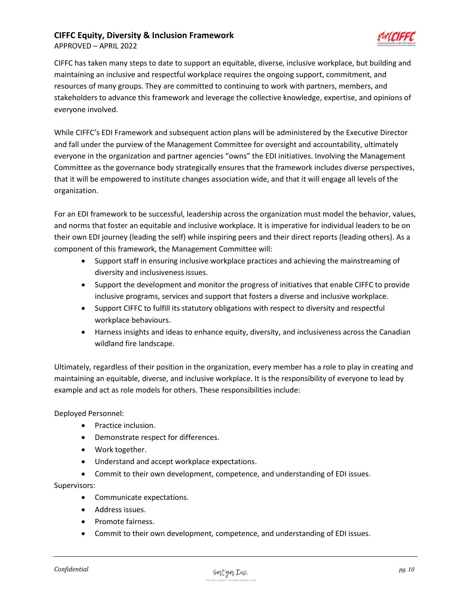



CIFFC has taken many steps to date to support an equitable, diverse, inclusive workplace, but building and maintaining an inclusive and respectful workplace requires the ongoing support, commitment, and resources of many groups. They are committed to continuing to work with partners, members, and stakeholders to advance this framework and leverage the collective knowledge, expertise, and opinions of everyone involved.

While CIFFC's EDI Framework and subsequent action plans will be administered by the Executive Director and fall under the purview of the Management Committee for oversight and accountability, ultimately everyone in the organization and partner agencies "owns" the EDI initiatives. Involving the Management Committee as the governance body strategically ensures that the framework includes diverse perspectives, that it will be empowered to institute changes association wide, and that it will engage all levels of the organization.

For an EDI framework to be successful, leadership across the organization must model the behavior, values, and norms that foster an equitable and inclusive workplace. It is imperative for individual leaders to be on their own EDI journey (leading the self) while inspiring peers and their direct reports (leading others). As a component of this framework, the Management Committee will:

- Support staff in ensuring inclusive workplace practices and achieving the mainstreaming of diversity and inclusiveness issues.
- Support the development and monitor the progress of initiatives that enable CIFFC to provide inclusive programs, services and support that fosters a diverse and inclusive workplace.
- Support CIFFC to fulfill its statutory obligations with respect to diversity and respectful workplace behaviours.
- Harness insights and ideas to enhance equity, diversity, and inclusiveness across the Canadian wildland fire landscape.

Ultimately, regardless of their position in the organization, every member has a role to play in creating and maintaining an equitable, diverse, and inclusive workplace. It is the responsibility of everyone to lead by example and act as role models for others. These responsibilities include:

Deployed Personnel:

- Practice inclusion.
- Demonstrate respect for differences.
- Work together.
- Understand and accept workplace expectations.
- Commit to their own development, competence, and understanding of EDI issues.

Supervisors:

- Communicate expectations.
- Address issues.
- Promote fairness.
- Commit to their own development, competence, and understanding of EDI issues.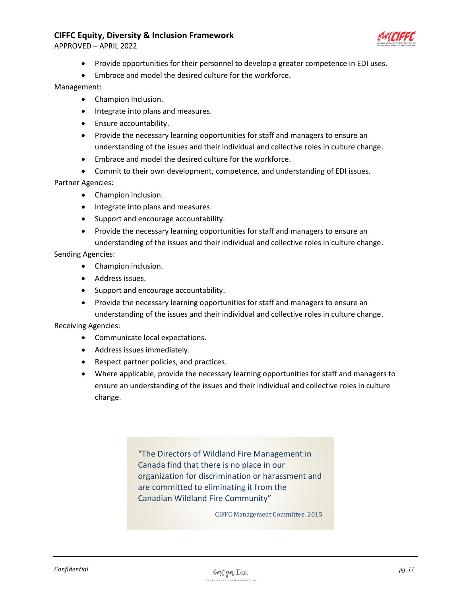APPROVED – APRIL 2022



- Provide opportunities for their personnel to develop a greater competence in EDI uses.
- Embrace and model the desired culture for the workforce.

#### Management:

- Champion Inclusion.
- Integrate into plans and measures.
- Ensure accountability.
- Provide the necessary learning opportunities for staff and managers to ensure an understanding of the issues and their individual and collective roles in culture change.
- Embrace and model the desired culture for the workforce.
- Commit to their own development, competence, and understanding of EDI issues.

Partner Agencies:

- Champion inclusion.
- Integrate into plans and measures.
- Support and encourage accountability.
- Provide the necessary learning opportunities for staff and managers to ensure an understanding of the issues and their individual and collective roles in culture change.

Sending Agencies:

- Champion inclusion.
- Address issues.
- Support and encourage accountability.
- Provide the necessary learning opportunities for staff and managers to ensure an understanding of the issues and their individual and collective roles in culture change.

Receiving Agencies:

- Communicate local expectations.
- Address issues immediately.
- Respect partner policies, and practices.
- Where applicable, provide the necessary learning opportunities for staff and managers to ensure an understanding of the issues and their individual and collective roles in culture change.

"The Directors of Wildland Fire Management in Canada find that there is no place in our organization for discrimination or harassment and are committed to eliminating it from the Canadian Wildland Fire Community"

CIFFC Management Committee, 2015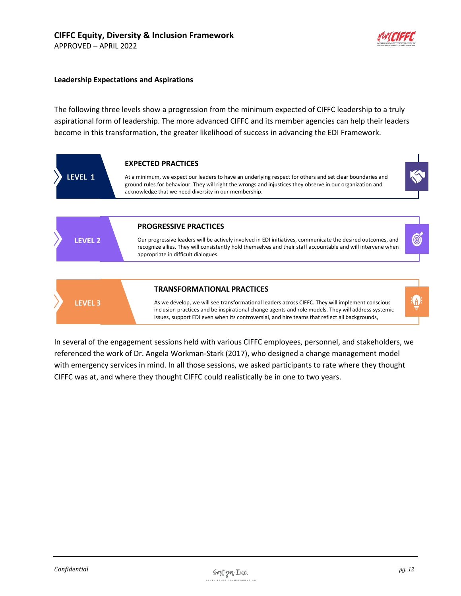#### **Leadership Expectations and Aspirations**

The following three levels show a progression from the minimum expected of CIFFC leadership to a truly aspirational form of leadership. The more advanced CIFFC and its member agencies can help their leaders become in this transformation, the greater likelihood of success in advancing the EDI Framework.



In several of the engagement sessions held with various CIFFC employees, personnel, and stakeholders, we referenced the work of Dr. Angela Workman-Stark (2017), who designed a change management model with emergency services in mind. In all those sessions, we asked participants to rate where they thought CIFFC was at, and where they thought CIFFC could realistically be in one to two years.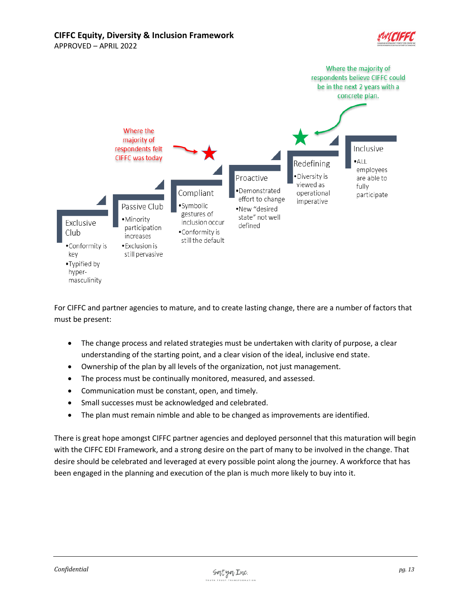**CIFFC Equity, Diversity & Inclusion Framework** APPROVED – APRIL 2022





For CIFFC and partner agencies to mature, and to create lasting change, there are a number of factors that must be present:

- The change process and related strategies must be undertaken with clarity of purpose, a clear understanding of the starting point, and a clear vision of the ideal, inclusive end state.
- Ownership of the plan by all levels of the organization, not just management.
- The process must be continually monitored, measured, and assessed.
- Communication must be constant, open, and timely.
- Small successes must be acknowledged and celebrated.
- The plan must remain nimble and able to be changed as improvements are identified.

There is great hope amongst CIFFC partner agencies and deployed personnel that this maturation will begin with the CIFFC EDI Framework, and a strong desire on the part of many to be involved in the change. That desire should be celebrated and leveraged at every possible point along the journey. A workforce that has been engaged in the planning and execution of the plan is much more likely to buy into it.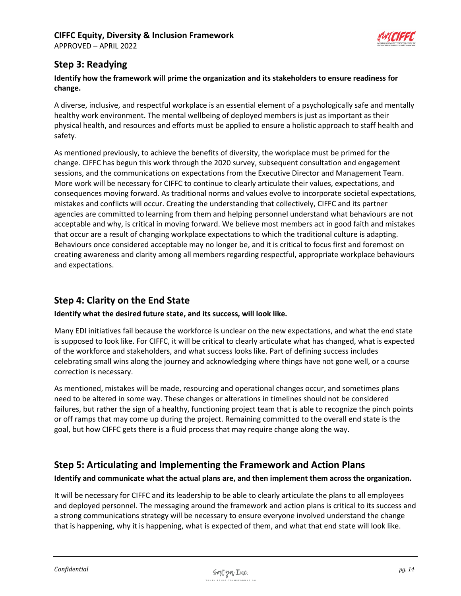APPROVED – APRIL 2022



# <span id="page-13-0"></span>**Step 3: Readying**

## **Identify how the framework will prime the organization and its stakeholders to ensure readiness for change.**

A diverse, inclusive, and respectful workplace is an essential element of a psychologically safe and mentally healthy work environment. The mental wellbeing of deployed members is just as important as their physical health, and resources and efforts must be applied to ensure a holistic approach to staff health and safety.

As mentioned previously, to achieve the benefits of diversity, the workplace must be primed for the change. CIFFC has begun this work through the 2020 survey, subsequent consultation and engagement sessions, and the communications on expectations from the Executive Director and Management Team. More work will be necessary for CIFFC to continue to clearly articulate their values, expectations, and consequences moving forward. As traditional norms and values evolve to incorporate societal expectations, mistakes and conflicts will occur. Creating the understanding that collectively, CIFFC and its partner agencies are committed to learning from them and helping personnel understand what behaviours are not acceptable and why, is critical in moving forward. We believe most members act in good faith and mistakes that occur are a result of changing workplace expectations to which the traditional culture is adapting. Behaviours once considered acceptable may no longer be, and it is critical to focus first and foremost on creating awareness and clarity among all members regarding respectful, appropriate workplace behaviours and expectations.

# <span id="page-13-1"></span>**Step 4: Clarity on the End State**

## **Identify what the desired future state, and its success, will look like.**

Many EDI initiatives fail because the workforce is unclear on the new expectations, and what the end state is supposed to look like. For CIFFC, it will be critical to clearly articulate what has changed, what is expected of the workforce and stakeholders, and what success looks like. Part of defining success includes celebrating small wins along the journey and acknowledging where things have not gone well, or a course correction is necessary.

As mentioned, mistakes will be made, resourcing and operational changes occur, and sometimes plans need to be altered in some way. These changes or alterations in timelines should not be considered failures, but rather the sign of a healthy, functioning project team that is able to recognize the pinch points or off ramps that may come up during the project. Remaining committed to the overall end state is the goal, but how CIFFC gets there is a fluid process that may require change along the way.

# <span id="page-13-2"></span>**Step 5: Articulating and Implementing the Framework and Action Plans**

## **Identify and communicate what the actual plans are, and then implement them across the organization.**

It will be necessary for CIFFC and its leadership to be able to clearly articulate the plans to all employees and deployed personnel. The messaging around the framework and action plans is critical to its success and a strong communications strategy will be necessary to ensure everyone involved understand the change that is happening, why it is happening, what is expected of them, and what that end state will look like.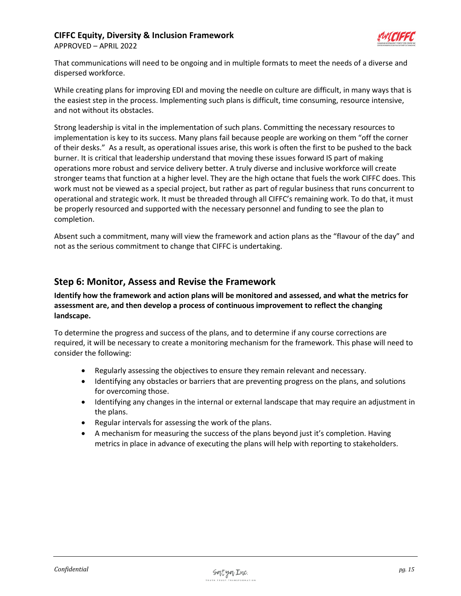

APPROVED – APRIL 2022

That communications will need to be ongoing and in multiple formats to meet the needs of a diverse and dispersed workforce.

While creating plans for improving EDI and moving the needle on culture are difficult, in many ways that is the easiest step in the process. Implementing such plans is difficult, time consuming, resource intensive, and not without its obstacles.

Strong leadership is vital in the implementation of such plans. Committing the necessary resources to implementation is key to its success. Many plans fail because people are working on them "off the corner of their desks." As a result, as operational issues arise, this work is often the first to be pushed to the back burner. It is critical that leadership understand that moving these issues forward IS part of making operations more robust and service delivery better. A truly diverse and inclusive workforce will create stronger teams that function at a higher level. They are the high octane that fuels the work CIFFC does. This work must not be viewed as a special project, but rather as part of regular business that runs concurrent to operational and strategic work. It must be threaded through all CIFFC's remaining work. To do that, it must be properly resourced and supported with the necessary personnel and funding to see the plan to completion.

Absent such a commitment, many will view the framework and action plans as the "flavour of the day" and not as the serious commitment to change that CIFFC is undertaking.

# <span id="page-14-0"></span>**Step 6: Monitor, Assess and Revise the Framework**

**Identify how the framework and action plans will be monitored and assessed, and what the metrics for assessment are, and then develop a process of continuous improvement to reflect the changing landscape.**

To determine the progress and success of the plans, and to determine if any course corrections are required, it will be necessary to create a monitoring mechanism for the framework. This phase will need to consider the following:

- Regularly assessing the objectives to ensure they remain relevant and necessary.
- Identifying any obstacles or barriers that are preventing progress on the plans, and solutions for overcoming those.
- Identifying any changes in the internal or external landscape that may require an adjustment in the plans.
- Regular intervals for assessing the work of the plans.
- A mechanism for measuring the success of the plans beyond just it's completion. Having metrics in place in advance of executing the plans will help with reporting to stakeholders.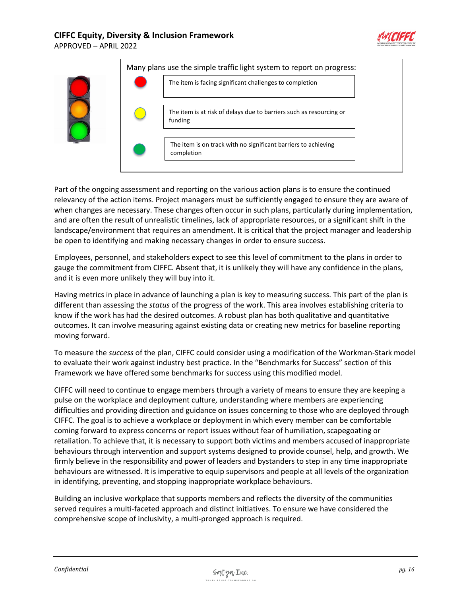



Part of the ongoing assessment and reporting on the various action plans is to ensure the continued relevancy of the action items. Project managers must be sufficiently engaged to ensure they are aware of when changes are necessary. These changes often occur in such plans, particularly during implementation, and are often the result of unrealistic timelines, lack of appropriate resources, or a significant shift in the landscape/environment that requires an amendment. It is critical that the project manager and leadership be open to identifying and making necessary changes in order to ensure success.

Employees, personnel, and stakeholders expect to see this level of commitment to the plans in order to gauge the commitment from CIFFC. Absent that, it is unlikely they will have any confidence in the plans, and it is even more unlikely they will buy into it.

Having metrics in place in advance of launching a plan is key to measuring success. This part of the plan is different than assessing the *status* of the progress of the work. This area involves establishing criteria to know if the work has had the desired outcomes. A robust plan has both qualitative and quantitative outcomes. It can involve measuring against existing data or creating new metrics for baseline reporting moving forward.

To measure the *success* of the plan, CIFFC could consider using a modification of the Workman-Stark model to evaluate their work against industry best practice. In the "Benchmarks for Success" section of this Framework we have offered some benchmarks for success using this modified model.

CIFFC will need to continue to engage members through a variety of means to ensure they are keeping a pulse on the workplace and deployment culture, understanding where members are experiencing difficulties and providing direction and guidance on issues concerning to those who are deployed through CIFFC. The goal is to achieve a workplace or deployment in which every member can be comfortable coming forward to express concerns or report issues without fear of humiliation, scapegoating or retaliation. To achieve that, it is necessary to support both victims and members accused of inappropriate behaviours through intervention and support systems designed to provide counsel, help, and growth. We firmly believe in the responsibility and power of leaders and bystanders to step in any time inappropriate behaviours are witnessed. It is imperative to equip supervisors and people at all levels of the organization in identifying, preventing, and stopping inappropriate workplace behaviours.

Building an inclusive workplace that supports members and reflects the diversity of the communities served requires a multi-faceted approach and distinct initiatives. To ensure we have considered the comprehensive scope of inclusivity, a multi-pronged approach is required.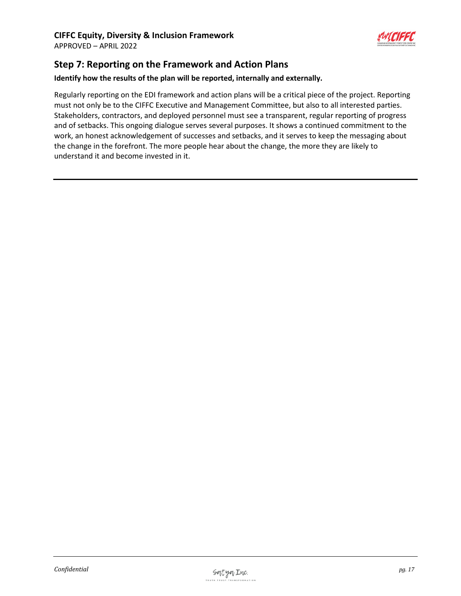

# <span id="page-16-0"></span>**Step 7: Reporting on the Framework and Action Plans**

#### **Identify how the results of the plan will be reported, internally and externally.**

Regularly reporting on the EDI framework and action plans will be a critical piece of the project. Reporting must not only be to the CIFFC Executive and Management Committee, but also to all interested parties. Stakeholders, contractors, and deployed personnel must see a transparent, regular reporting of progress and of setbacks. This ongoing dialogue serves several purposes. It shows a continued commitment to the work, an honest acknowledgement of successes and setbacks, and it serves to keep the messaging about the change in the forefront. The more people hear about the change, the more they are likely to understand it and become invested in it.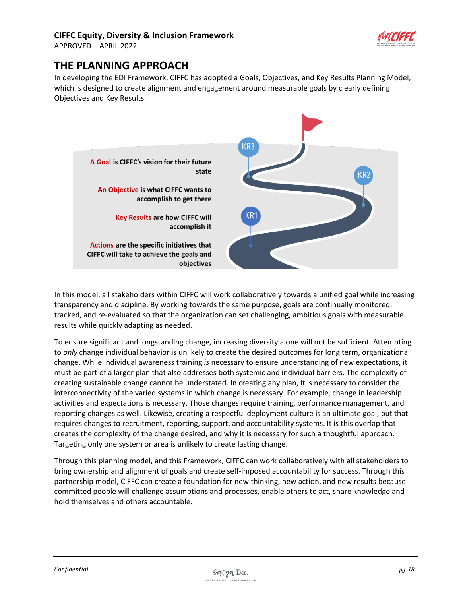

APPROVED – APRIL 2022

# <span id="page-17-0"></span>**THE PLANNING APPROACH**

In developing the EDI Framework, CIFFC has adopted a Goals, Objectives, and Key Results Planning Model, which is designed to create alignment and engagement around measurable goals by clearly defining Objectives and Key Results.



In this model, all stakeholders within CIFFC will work collaboratively towards a unified goal while increasing transparency and discipline. By working towards the same purpose, goals are continually monitored, tracked, and re-evaluated so that the organization can set challenging, ambitious goals with measurable results while quickly adapting as needed.

To ensure significant and longstanding change, increasing diversity alone will not be sufficient. Attempting to *only* change individual behavior is unlikely to create the desired outcomes for long term, organizational change. While individual awareness training *is* necessary to ensure understanding of new expectations, it must be part of a larger plan that also addresses both systemic and individual barriers. The complexity of creating sustainable change cannot be understated. In creating any plan, it is necessary to consider the interconnectivity of the varied systems in which change is necessary. For example, change in leadership activities and expectations is necessary. Those changes require training, performance management, and reporting changes as well. Likewise, creating a respectful deployment culture is an ultimate goal, but that requires changes to recruitment, reporting, support, and accountability systems. It is this overlap that creates the complexity of the change desired, and why it is necessary for such a thoughtful approach. Targeting only one system or area is unlikely to create lasting change.

Through this planning model, and this Framework, CIFFC can work collaboratively with all stakeholders to bring ownership and alignment of goals and create self-imposed accountability for success. Through this partnership model, CIFFC can create a foundation for new thinking, new action, and new results because committed people will challenge assumptions and processes, enable others to act, share knowledge and hold themselves and others accountable.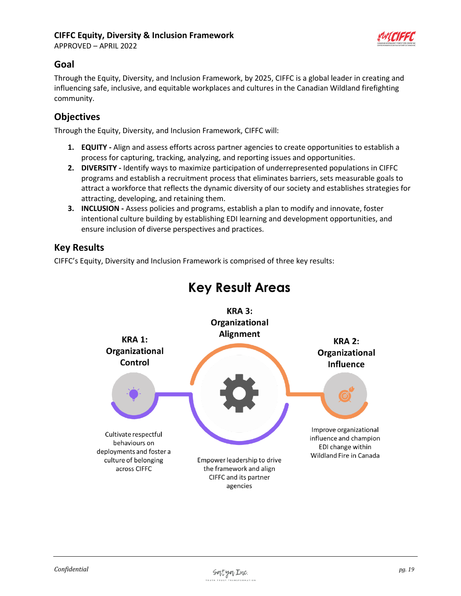APPROVED – APRIL 2022



# <span id="page-18-0"></span>**Goal**

Through the Equity, Diversity, and Inclusion Framework, by 2025, CIFFC is a global leader in creating and influencing safe, inclusive, and equitable workplaces and cultures in the Canadian Wildland firefighting community.

# <span id="page-18-1"></span>**Objectives**

Through the Equity, Diversity, and Inclusion Framework, CIFFC will:

- **1. EQUITY -** Align and assess efforts across partner agencies to create opportunities to establish a process for capturing, tracking, analyzing, and reporting issues and opportunities.
- **2. DIVERSITY -** Identify ways to maximize participation of underrepresented populations in CIFFC programs and establish a recruitment process that eliminates barriers, sets measurable goals to attract a workforce that reflects the dynamic diversity of our society and establishes strategies for attracting, developing, and retaining them.
- **3. INCLUSION -** Assess policies and programs, establish a plan to modify and innovate, foster intentional culture building by establishing EDI learning and development opportunities, and ensure inclusion of diverse perspectives and practices.

## <span id="page-18-2"></span>**Key Results**

CIFFC's Equity, Diversity and Inclusion Framework is comprised of three key results:



# **Key Result Areas**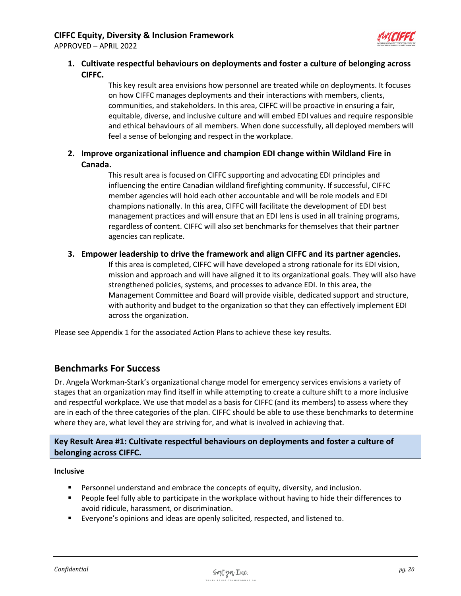

## <span id="page-19-0"></span>**1. Cultivate respectful behaviours on deployments and foster a culture of belonging across CIFFC.**

This key result area envisions how personnel are treated while on deployments. It focuses on how CIFFC manages deployments and their interactions with members, clients, communities, and stakeholders. In this area, CIFFC will be proactive in ensuring a fair, equitable, diverse, and inclusive culture and will embed EDI values and require responsible and ethical behaviours of all members. When done successfully, all deployed members will feel a sense of belonging and respect in the workplace.

## <span id="page-19-1"></span>**2. Improve organizational influence and champion EDI change within Wildland Fire in Canada.**

This result area is focused on CIFFC supporting and advocating EDI principles and influencing the entire Canadian wildland firefighting community. If successful, CIFFC member agencies will hold each other accountable and will be role models and EDI champions nationally. In this area, CIFFC will facilitate the development of EDI best management practices and will ensure that an EDI lens is used in all training programs, regardless of content. CIFFC will also set benchmarks for themselves that their partner agencies can replicate.

## <span id="page-19-2"></span>**3. Empower leadership to drive the framework and align CIFFC and its partner agencies.**

If this area is completed, CIFFC will have developed a strong rationale for its EDI vision, mission and approach and will have aligned it to its organizational goals. They will also have strengthened policies, systems, and processes to advance EDI. In this area, the Management Committee and Board will provide visible, dedicated support and structure, with authority and budget to the organization so that they can effectively implement EDI across the organization.

Please see Appendix 1 for the associated Action Plans to achieve these key results.

## <span id="page-19-3"></span>**Benchmarks For Success**

Dr. Angela Workman-Stark's organizational change model for emergency services envisions a variety of stages that an organization may find itself in while attempting to create a culture shift to a more inclusive and respectful workplace. We use that model as a basis for CIFFC (and its members) to assess where they are in each of the three categories of the plan. CIFFC should be able to use these benchmarks to determine where they are, what level they are striving for, and what is involved in achieving that.

**Key Result Area #1: Cultivate respectful behaviours on deployments and foster a culture of belonging across CIFFC.**

#### **Inclusive**

- **•** Personnel understand and embrace the concepts of equity, diversity, and inclusion.
- People feel fully able to participate in the workplace without having to hide their differences to avoid ridicule, harassment, or discrimination.
- Everyone's opinions and ideas are openly solicited, respected, and listened to.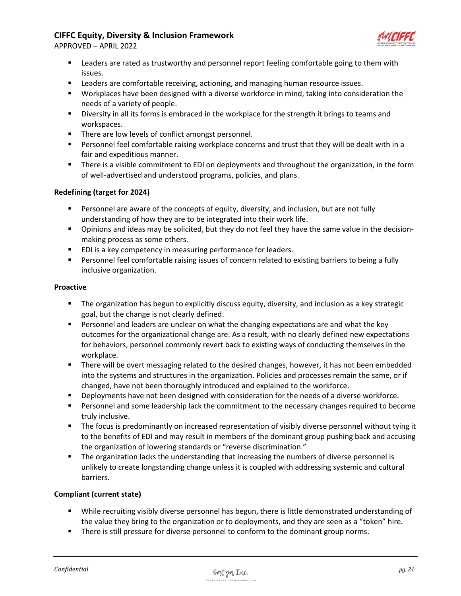

APPROVED – APRIL 2022

- Leaders are rated as trustworthy and personnel report feeling comfortable going to them with issues.
- Leaders are comfortable receiving, actioning, and managing human resource issues.
- Workplaces have been designed with a diverse workforce in mind, taking into consideration the needs of a variety of people.
- **EXED** Diversity in all its forms is embraced in the workplace for the strength it brings to teams and workspaces.
- There are low levels of conflict amongst personnel.
- **■** Personnel feel comfortable raising workplace concerns and trust that they will be dealt with in a fair and expeditious manner.
- **■** There is a visible commitment to EDI on deployments and throughout the organization, in the form of well-advertised and understood programs, policies, and plans.

#### **Redefining (target for 2024)**

- **•** Personnel are aware of the concepts of equity, diversity, and inclusion, but are not fully understanding of how they are to be integrated into their work life.
- **•** Opinions and ideas may be solicited, but they do not feel they have the same value in the decisionmaking process as some others.
- EDI is a key competency in measuring performance for leaders.
- **•** Personnel feel comfortable raising issues of concern related to existing barriers to being a fully inclusive organization.

#### **Proactive**

- **•** The organization has begun to explicitly discuss equity, diversity, and inclusion as a key strategic goal, but the change is not clearly defined.
- **EXE** Personnel and leaders are unclear on what the changing expectations are and what the key outcomes for the organizational change are. As a result, with no clearly defined new expectations for behaviors, personnel commonly revert back to existing ways of conducting themselves in the workplace.
- There will be overt messaging related to the desired changes, however, it has not been embedded into the systems and structures in the organization. Policies and processes remain the same, or if changed, have not been thoroughly introduced and explained to the workforce.
- **•** Deployments have not been designed with consideration for the needs of a diverse workforce.
- **•** Personnel and some leadership lack the commitment to the necessary changes required to become truly inclusive.
- The focus is predominantly on increased representation of visibly diverse personnel without tying it to the benefits of EDI and may result in members of the dominant group pushing back and accusing the organization of lowering standards or "reverse discrimination."
- The organization lacks the understanding that increasing the numbers of diverse personnel is unlikely to create longstanding change unless it is coupled with addressing systemic and cultural barriers.

#### **Compliant (current state)**

- While recruiting visibly diverse personnel has begun, there is little demonstrated understanding of the value they bring to the organization or to deployments, and they are seen as a "token" hire.
- **•** There is still pressure for diverse personnel to conform to the dominant group norms.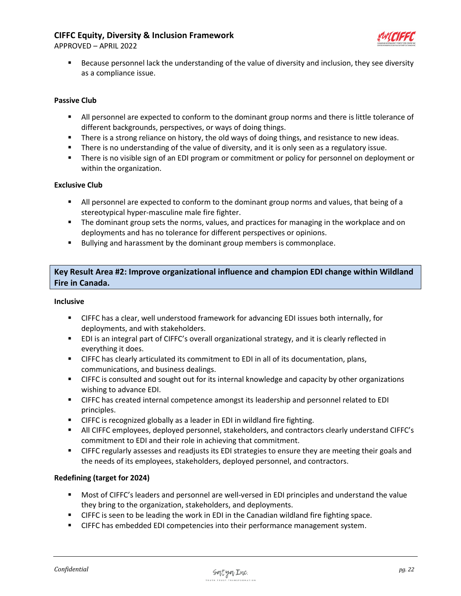

APPROVED – APRIL 2022

Because personnel lack the understanding of the value of diversity and inclusion, they see diversity as a compliance issue.

### **Passive Club**

- All personnel are expected to conform to the dominant group norms and there is little tolerance of different backgrounds, perspectives, or ways of doing things.
- **■** There is a strong reliance on history, the old ways of doing things, and resistance to new ideas.
- **■** There is no understanding of the value of diversity, and it is only seen as a regulatory issue.
- **■** There is no visible sign of an EDI program or commitment or policy for personnel on deployment or within the organization.

#### **Exclusive Club**

- **EXECT** All personnel are expected to conform to the dominant group norms and values, that being of a stereotypical hyper-masculine male fire fighter.
- **■** The dominant group sets the norms, values, and practices for managing in the workplace and on deployments and has no tolerance for different perspectives or opinions.
- Bullying and harassment by the dominant group members is commonplace.

**Key Result Area #2: Improve organizational influence and champion EDI change within Wildland Fire in Canada.**

#### **Inclusive**

- CIFFC has a clear, well understood framework for advancing EDI issues both internally, for deployments, and with stakeholders.
- EDI is an integral part of CIFFC's overall organizational strategy, and it is clearly reflected in everything it does.
- **EXEC HAS CLETC has clearly articulated its commitment to EDI in all of its documentation, plans,** communications, and business dealings.
- CIFFC is consulted and sought out for its internal knowledge and capacity by other organizations wishing to advance EDI.
- CIFFC has created internal competence amongst its leadership and personnel related to EDI principles.
- CIFFC is recognized globally as a leader in EDI in wildland fire fighting.
- All CIFFC employees, deployed personnel, stakeholders, and contractors clearly understand CIFFC's commitment to EDI and their role in achieving that commitment.
- CIFFC regularly assesses and readjusts its EDI strategies to ensure they are meeting their goals and the needs of its employees, stakeholders, deployed personnel, and contractors.

#### **Redefining (target for 2024)**

- Most of CIFFC's leaders and personnel are well-versed in EDI principles and understand the value they bring to the organization, stakeholders, and deployments.
- CIFFC is seen to be leading the work in EDI in the Canadian wildland fire fighting space.
- CIFFC has embedded EDI competencies into their performance management system.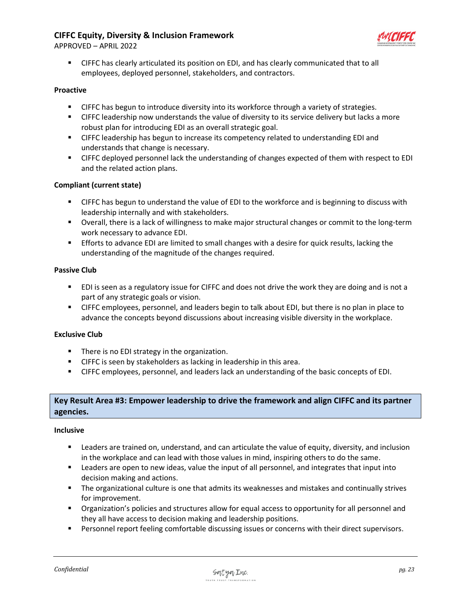APPROVED – APRIL 2022



■ CIFFC has clearly articulated its position on EDI, and has clearly communicated that to all employees, deployed personnel, stakeholders, and contractors.

#### **Proactive**

- **•** CIFFC has begun to introduce diversity into its workforce through a variety of strategies.
- **EXEC 15 I** CIFFC leadership now understands the value of diversity to its service delivery but lacks a more robust plan for introducing EDI as an overall strategic goal.
- CIFFC leadership has begun to increase its competency related to understanding EDI and understands that change is necessary.
- **CIFFC deployed personnel lack the understanding of changes expected of them with respect to EDI** and the related action plans.

#### **Compliant (current state)**

- **EXEC has begun to understand the value of EDI to the workforce and is beginning to discuss with** leadership internally and with stakeholders.
- Overall, there is a lack of willingness to make major structural changes or commit to the long-term work necessary to advance EDI.
- **Efforts to advance EDI are limited to small changes with a desire for quick results, lacking the** understanding of the magnitude of the changes required.

#### **Passive Club**

- EDI is seen as a regulatory issue for CIFFC and does not drive the work they are doing and is not a part of any strategic goals or vision.
- CIFFC employees, personnel, and leaders begin to talk about EDI, but there is no plan in place to advance the concepts beyond discussions about increasing visible diversity in the workplace.

#### **Exclusive Club**

- There is no EDI strategy in the organization.
- CIFFC is seen by stakeholders as lacking in leadership in this area.
- CIFFC employees, personnel, and leaders lack an understanding of the basic concepts of EDI.

## **Key Result Area #3: Empower leadership to drive the framework and align CIFFC and its partner agencies.**

#### **Inclusive**

- Leaders are trained on, understand, and can articulate the value of equity, diversity, and inclusion in the workplace and can lead with those values in mind, inspiring others to do the same.
- Leaders are open to new ideas, value the input of all personnel, and integrates that input into decision making and actions.
- The organizational culture is one that admits its weaknesses and mistakes and continually strives for improvement.
- **■** Organization's policies and structures allow for equal access to opportunity for all personnel and they all have access to decision making and leadership positions.
- **•** Personnel report feeling comfortable discussing issues or concerns with their direct supervisors.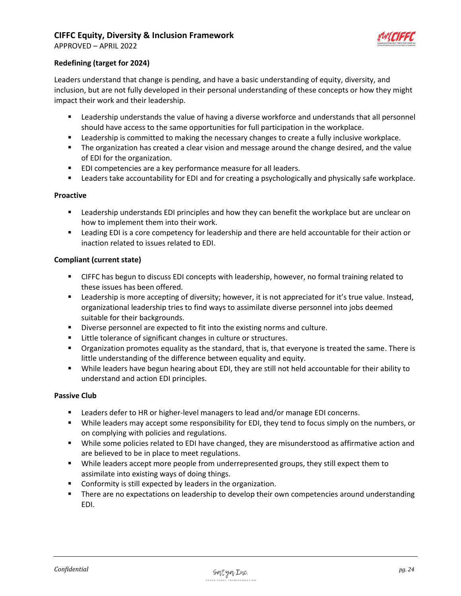

APPROVED – APRIL 2022

#### **Redefining (target for 2024)**

Leaders understand that change is pending, and have a basic understanding of equity, diversity, and inclusion, but are not fully developed in their personal understanding of these concepts or how they might impact their work and their leadership.

- Leadership understands the value of having a diverse workforce and understands that all personnel should have access to the same opportunities for full participation in the workplace.
- Leadership is committed to making the necessary changes to create a fully inclusive workplace.
- The organization has created a clear vision and message around the change desired, and the value of EDI for the organization.
- EDI competencies are a key performance measure for all leaders.
- Leaders take accountability for EDI and for creating a psychologically and physically safe workplace.

#### **Proactive**

- Leadership understands EDI principles and how they can benefit the workplace but are unclear on how to implement them into their work.
- Leading EDI is a core competency for leadership and there are held accountable for their action or inaction related to issues related to EDI.

#### **Compliant (current state)**

- CIFFC has begun to discuss EDI concepts with leadership, however, no formal training related to these issues has been offered.
- Leadership is more accepting of diversity; however, it is not appreciated for it's true value. Instead, organizational leadership tries to find ways to assimilate diverse personnel into jobs deemed suitable for their backgrounds.
- Diverse personnel are expected to fit into the existing norms and culture.
- Little tolerance of significant changes in culture or structures.
- Organization promotes equality as the standard, that is, that everyone is treated the same. There is little understanding of the difference between equality and equity.
- While leaders have begun hearing about EDI, they are still not held accountable for their ability to understand and action EDI principles.

#### **Passive Club**

- Leaders defer to HR or higher-level managers to lead and/or manage EDI concerns.
- **•** While leaders may accept some responsibility for EDI, they tend to focus simply on the numbers, or on complying with policies and regulations.
- **■** While some policies related to EDI have changed, they are misunderstood as affirmative action and are believed to be in place to meet regulations.
- **■** While leaders accept more people from underrepresented groups, they still expect them to assimilate into existing ways of doing things.
- Conformity is still expected by leaders in the organization.
- There are no expectations on leadership to develop their own competencies around understanding EDI.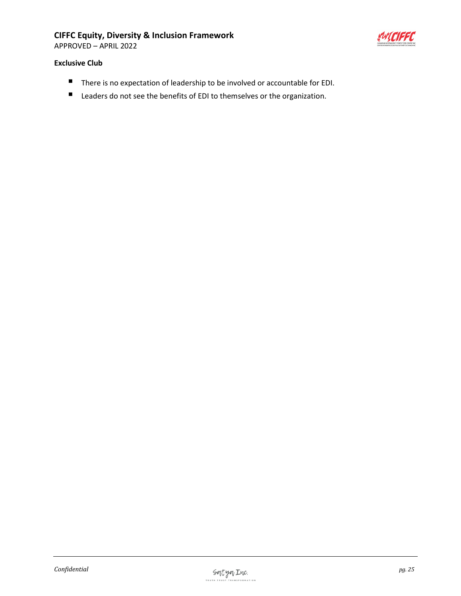APPROVED – APRIL 2022



#### **Exclusive Club**

- There is no expectation of leadership to be involved or accountable for EDI.
- Leaders do not see the benefits of EDI to themselves or the organization.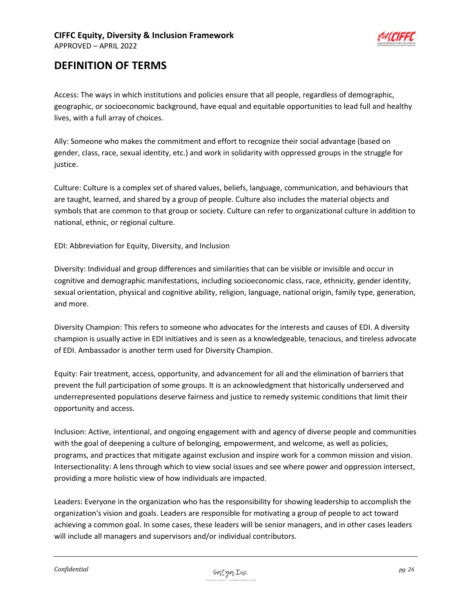

# <span id="page-25-0"></span>**DEFINITION OF TERMS**

Access: The ways in which institutions and policies ensure that all people, regardless of demographic, geographic, or socioeconomic background, have equal and equitable opportunities to lead full and healthy lives, with a full array of choices.

Ally: Someone who makes the commitment and effort to recognize their social advantage (based on gender, class, race, sexual identity, etc.) and work in solidarity with oppressed groups in the struggle for justice.

Culture: Culture is a complex set of shared values, beliefs, language, communication, and behaviours that are taught, learned, and shared by a group of people. Culture also includes the material objects and symbols that are common to that group or society. Culture can refer to organizational culture in addition to national, ethnic, or regional culture.

EDI: Abbreviation for Equity, Diversity, and Inclusion

Diversity: Individual and group differences and similarities that can be visible or invisible and occur in cognitive and demographic manifestations, including socioeconomic class, race, ethnicity, gender identity, sexual orientation, physical and cognitive ability, religion, language, national origin, family type, generation, and more.

Diversity Champion: This refers to someone who advocates for the interests and causes of EDI. A diversity champion is usually active in EDI initiatives and is seen as a knowledgeable, tenacious, and tireless advocate of EDI. Ambassador is another term used for Diversity Champion.

Equity: Fair treatment, access, opportunity, and advancement for all and the elimination of barriers that prevent the full participation of some groups. It is an acknowledgment that historically underserved and underrepresented populations deserve fairness and justice to remedy systemic conditions that limit their opportunity and access.

Inclusion: Active, intentional, and ongoing engagement with and agency of diverse people and communities with the goal of deepening a culture of belonging, empowerment, and welcome, as well as policies, programs, and practices that mitigate against exclusion and inspire work for a common mission and vision. Intersectionality: A lens through which to view social issues and see where power and oppression intersect, providing a more holistic view of how individuals are impacted.

Leaders: Everyone in the organization who has the responsibility for showing leadership to accomplish the organization's vision and goals. Leaders are responsible for motivating a group of people to act toward achieving a common goal. In some cases, these leaders will be senior managers, and in other cases leaders will include all managers and supervisors and/or individual contributors.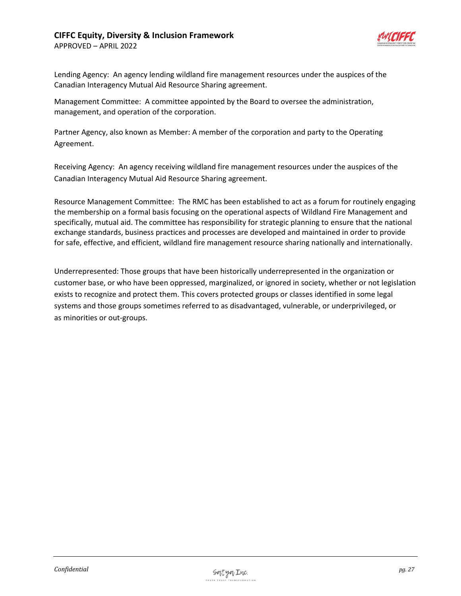APPROVED – APRIL 2022



Lending Agency: An agency lending wildland fire management resources under the auspices of the Canadian Interagency Mutual Aid Resource Sharing agreement.

Management Committee: A committee appointed by the Board to oversee the administration, management, and operation of the corporation.

Partner Agency, also known as Member: A member of the corporation and party to the Operating Agreement.

Receiving Agency: An agency receiving wildland fire management resources under the auspices of the Canadian Interagency Mutual Aid Resource Sharing agreement.

Resource Management Committee: The RMC has been established to act as a forum for routinely engaging the membership on a formal basis focusing on the operational aspects of Wildland Fire Management and specifically, mutual aid. The committee has responsibility for strategic planning to ensure that the national exchange standards, business practices and processes are developed and maintained in order to provide for safe, effective, and efficient, wildland fire management resource sharing nationally and internationally.

Underrepresented: Those groups that have been historically underrepresented in the organization or customer base, or who have been oppressed, marginalized, or ignored in society, whether or not legislation exists to recognize and protect them. This covers protected groups or classes identified in some legal systems and those groups sometimes referred to as disadvantaged, vulnerable, or underprivileged, or as minorities or out-groups.